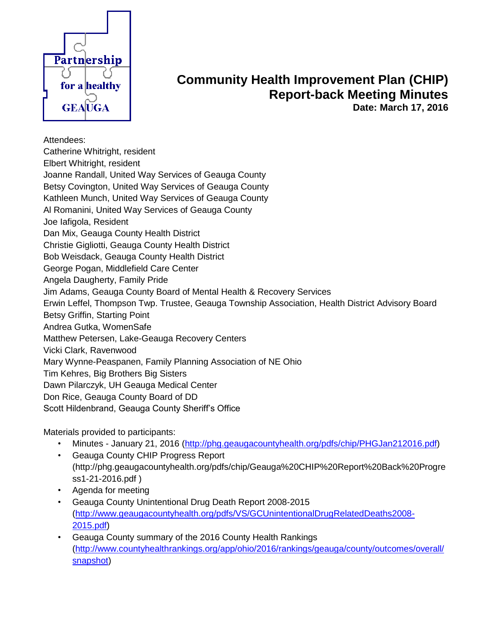

## **Community Health Improvement Plan (CHIP) Report-back Meeting Minutes Date: March 17, 2016**

Attendees:

Catherine Whitright, resident Elbert Whitright, resident Joanne Randall, United Way Services of Geauga County Betsy Covington, United Way Services of Geauga County Kathleen Munch, United Way Services of Geauga County Al Romanini, United Way Services of Geauga County Joe Iafigola, Resident Dan Mix, Geauga County Health District Christie Gigliotti, Geauga County Health District Bob Weisdack, Geauga County Health District George Pogan, Middlefield Care Center Angela Daugherty, Family Pride Jim Adams, Geauga County Board of Mental Health & Recovery Services Erwin Leffel, Thompson Twp. Trustee, Geauga Township Association, Health District Advisory Board Betsy Griffin, Starting Point Andrea Gutka, WomenSafe Matthew Petersen, Lake-Geauga Recovery Centers Vicki Clark, Ravenwood Mary Wynne-Peaspanen, Family Planning Association of NE Ohio Tim Kehres, Big Brothers Big Sisters Dawn Pilarczyk, UH Geauga Medical Center Don Rice, Geauga County Board of DD Scott Hildenbrand, Geauga County Sheriff's Office

Materials provided to participants:

- Minutes January 21, 2016 [\(http://phg.geaugacountyhealth.org/pdfs/chip/PHGJan212016.pdf\)](http://phg.geaugacountyhealth.org/pdfs/chip/PHGJan212016.pdf)
- Geauga County CHIP Progress Report (http://phg.geaugacountyhealth.org/pdfs/chip/Geauga%20CHIP%20Report%20Back%20Progre ss1-21-2016.pdf )
- Agenda for meeting
- Geauga County Unintentional Drug Death Report 2008-2015 [\(http://www.geaugacountyhealth.org/pdfs/VS/GCUnintentionalDrugRelatedDeaths2008-](http://www.geaugacountyhealth.org/pdfs/VS/GCUnintentionalDrugRelatedDeaths2008-2015.pdf) [2015.pdf\)](http://www.geaugacountyhealth.org/pdfs/VS/GCUnintentionalDrugRelatedDeaths2008-2015.pdf)
- Geauga County summary of the 2016 County Health Rankings [\(http://www.countyhealthrankings.org/app/ohio/2016/rankings/geauga/county/outcomes/overall/](http://www.countyhealthrankings.org/app/ohio/2016/rankings/geauga/county/outcomes/overall/snapshot) [snapshot\)](http://www.countyhealthrankings.org/app/ohio/2016/rankings/geauga/county/outcomes/overall/snapshot)